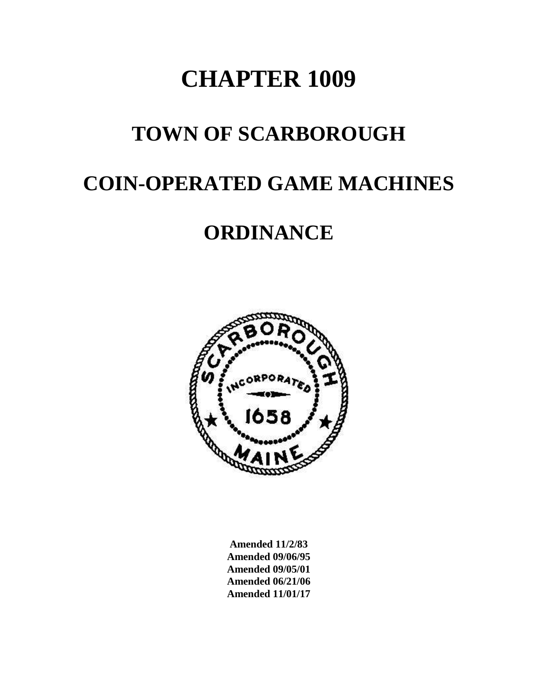# **CHAPTER 1009**

### **TOWN OF SCARBOROUGH**

### **COIN-OPERATED GAME MACHINES**

## **ORDINANCE**



**Amended 11/2/83 Amended 09/06/95 Amended 09/05/01 Amended 06/21/06 Amended 11/01/17**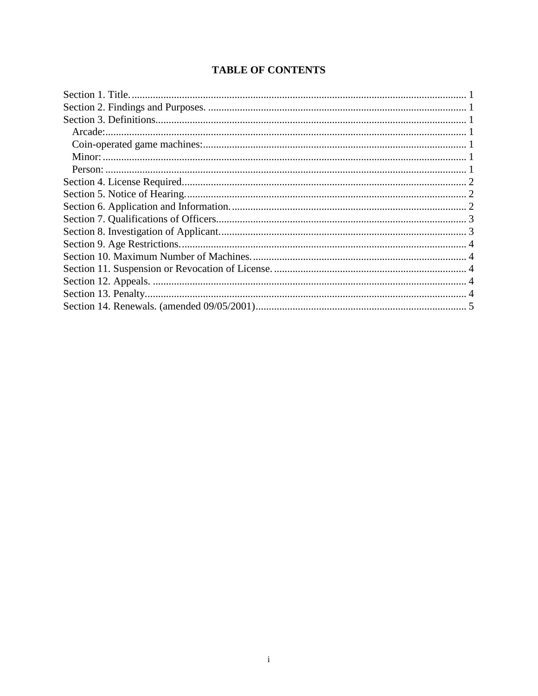### **TABLE OF CONTENTS**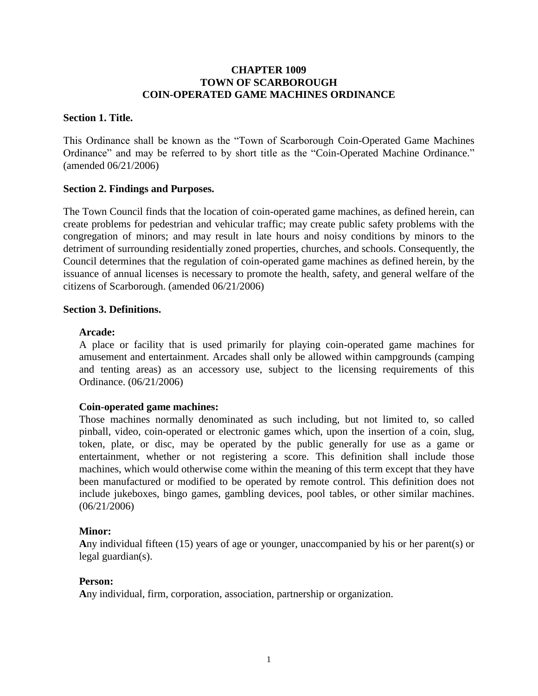#### **CHAPTER 1009 TOWN OF SCARBOROUGH COIN-OPERATED GAME MACHINES ORDINANCE**

#### <span id="page-2-0"></span>**Section 1. Title.**

This Ordinance shall be known as the "Town of Scarborough Coin-Operated Game Machines Ordinance" and may be referred to by short title as the "Coin-Operated Machine Ordinance." (amended 06/21/2006)

#### <span id="page-2-1"></span>**Section 2. Findings and Purposes.**

The Town Council finds that the location of coin-operated game machines, as defined herein, can create problems for pedestrian and vehicular traffic; may create public safety problems with the congregation of minors; and may result in late hours and noisy conditions by minors to the detriment of surrounding residentially zoned properties, churches, and schools. Consequently, the Council determines that the regulation of coin-operated game machines as defined herein, by the issuance of annual licenses is necessary to promote the health, safety, and general welfare of the citizens of Scarborough. (amended 06/21/2006)

#### <span id="page-2-2"></span>**Section 3. Definitions.**

#### <span id="page-2-3"></span>**Arcade:**

A place or facility that is used primarily for playing coin-operated game machines for amusement and entertainment. Arcades shall only be allowed within campgrounds (camping and tenting areas) as an accessory use, subject to the licensing requirements of this Ordinance. (06/21/2006)

#### <span id="page-2-4"></span>**Coin-operated game machines:**

Those machines normally denominated as such including, but not limited to, so called pinball, video, coin-operated or electronic games which, upon the insertion of a coin, slug, token, plate, or disc, may be operated by the public generally for use as a game or entertainment, whether or not registering a score. This definition shall include those machines, which would otherwise come within the meaning of this term except that they have been manufactured or modified to be operated by remote control. This definition does not include jukeboxes, bingo games, gambling devices, pool tables, or other similar machines. (06/21/2006)

#### <span id="page-2-5"></span>**Minor:**

**A**ny individual fifteen (15) years of age or younger, unaccompanied by his or her parent(s) or legal guardian(s).

#### <span id="page-2-6"></span>**Person:**

**A**ny individual, firm, corporation, association, partnership or organization.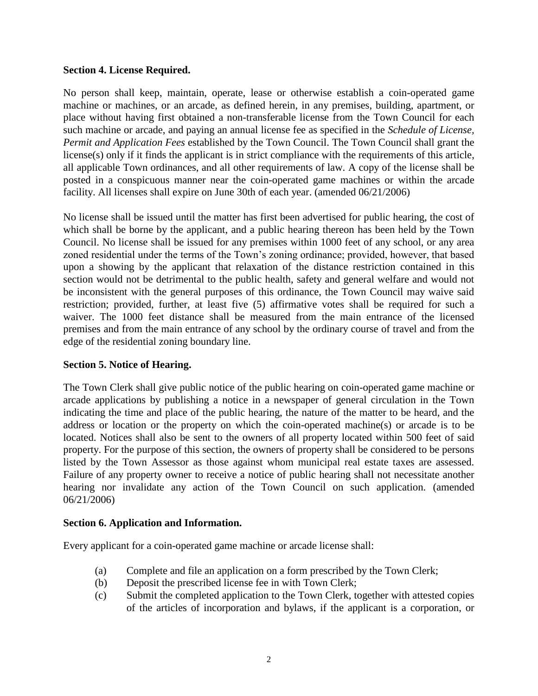#### <span id="page-3-0"></span>**Section 4. License Required.**

No person shall keep, maintain, operate, lease or otherwise establish a coin-operated game machine or machines, or an arcade, as defined herein, in any premises, building, apartment, or place without having first obtained a non-transferable license from the Town Council for each such machine or arcade, and paying an annual license fee as specified in the *Schedule of License, Permit and Application Fees* established by the Town Council. The Town Council shall grant the license(s) only if it finds the applicant is in strict compliance with the requirements of this article, all applicable Town ordinances, and all other requirements of law. A copy of the license shall be posted in a conspicuous manner near the coin-operated game machines or within the arcade facility. All licenses shall expire on June 30th of each year. (amended 06/21/2006)

No license shall be issued until the matter has first been advertised for public hearing, the cost of which shall be borne by the applicant, and a public hearing thereon has been held by the Town Council. No license shall be issued for any premises within 1000 feet of any school, or any area zoned residential under the terms of the Town's zoning ordinance; provided, however, that based upon a showing by the applicant that relaxation of the distance restriction contained in this section would not be detrimental to the public health, safety and general welfare and would not be inconsistent with the general purposes of this ordinance, the Town Council may waive said restriction; provided, further, at least five (5) affirmative votes shall be required for such a waiver. The 1000 feet distance shall be measured from the main entrance of the licensed premises and from the main entrance of any school by the ordinary course of travel and from the edge of the residential zoning boundary line.

#### <span id="page-3-1"></span>**Section 5. Notice of Hearing.**

The Town Clerk shall give public notice of the public hearing on coin-operated game machine or arcade applications by publishing a notice in a newspaper of general circulation in the Town indicating the time and place of the public hearing, the nature of the matter to be heard, and the address or location or the property on which the coin-operated machine(s) or arcade is to be located. Notices shall also be sent to the owners of all property located within 500 feet of said property. For the purpose of this section, the owners of property shall be considered to be persons listed by the Town Assessor as those against whom municipal real estate taxes are assessed. Failure of any property owner to receive a notice of public hearing shall not necessitate another hearing nor invalidate any action of the Town Council on such application. (amended 06/21/2006)

#### <span id="page-3-2"></span>**Section 6. Application and Information.**

Every applicant for a coin-operated game machine or arcade license shall:

- (a) Complete and file an application on a form prescribed by the Town Clerk;
- (b) Deposit the prescribed license fee in with Town Clerk;
- (c) Submit the completed application to the Town Clerk, together with attested copies of the articles of incorporation and bylaws, if the applicant is a corporation, or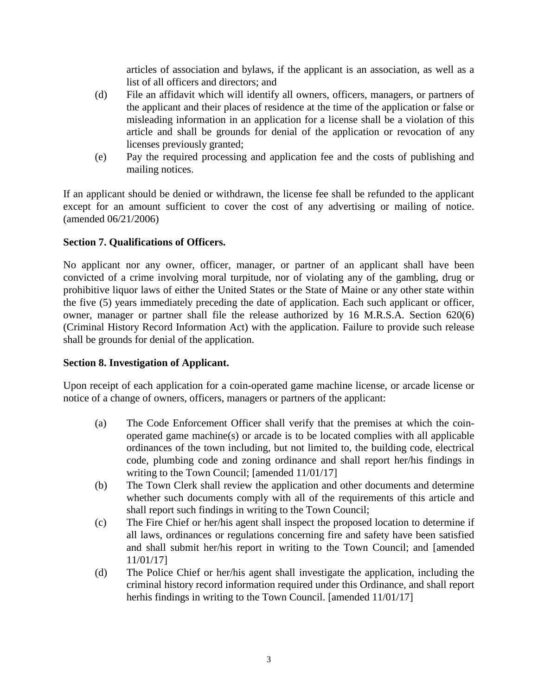articles of association and bylaws, if the applicant is an association, as well as a list of all officers and directors; and

- (d) File an affidavit which will identify all owners, officers, managers, or partners of the applicant and their places of residence at the time of the application or false or misleading information in an application for a license shall be a violation of this article and shall be grounds for denial of the application or revocation of any licenses previously granted;
- (e) Pay the required processing and application fee and the costs of publishing and mailing notices.

If an applicant should be denied or withdrawn, the license fee shall be refunded to the applicant except for an amount sufficient to cover the cost of any advertising or mailing of notice. (amended 06/21/2006)

#### <span id="page-4-0"></span>**Section 7. Qualifications of Officers.**

No applicant nor any owner, officer, manager, or partner of an applicant shall have been convicted of a crime involving moral turpitude, nor of violating any of the gambling, drug or prohibitive liquor laws of either the United States or the State of Maine or any other state within the five (5) years immediately preceding the date of application. Each such applicant or officer, owner, manager or partner shall file the release authorized by 16 M.R.S.A. Section 620(6) (Criminal History Record Information Act) with the application. Failure to provide such release shall be grounds for denial of the application.

#### <span id="page-4-1"></span>**Section 8. Investigation of Applicant.**

Upon receipt of each application for a coin-operated game machine license, or arcade license or notice of a change of owners, officers, managers or partners of the applicant:

- (a) The Code Enforcement Officer shall verify that the premises at which the coinoperated game machine(s) or arcade is to be located complies with all applicable ordinances of the town including, but not limited to, the building code, electrical code, plumbing code and zoning ordinance and shall report her/his findings in writing to the Town Council; [amended 11/01/17]
- (b) The Town Clerk shall review the application and other documents and determine whether such documents comply with all of the requirements of this article and shall report such findings in writing to the Town Council;
- (c) The Fire Chief or her/his agent shall inspect the proposed location to determine if all laws, ordinances or regulations concerning fire and safety have been satisfied and shall submit her/his report in writing to the Town Council; and [amended 11/01/17]
- (d) The Police Chief or her/his agent shall investigate the application, including the criminal history record information required under this Ordinance, and shall report herhis findings in writing to the Town Council. [amended  $11/01/17$ ]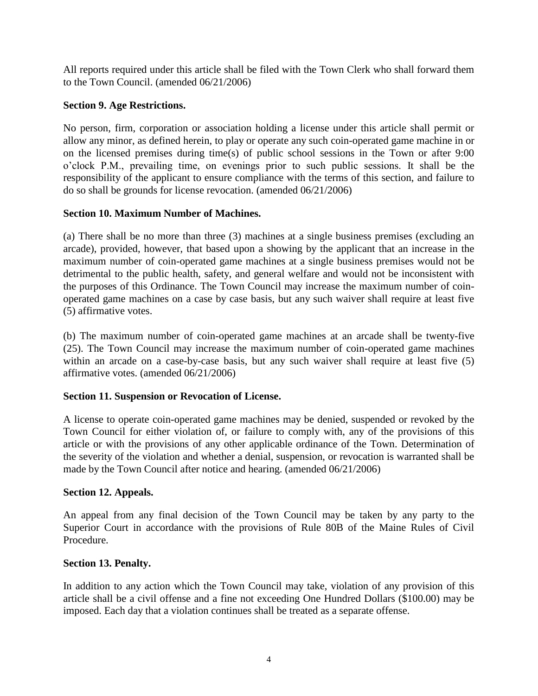All reports required under this article shall be filed with the Town Clerk who shall forward them to the Town Council. (amended 06/21/2006)

#### <span id="page-5-0"></span>**Section 9. Age Restrictions.**

No person, firm, corporation or association holding a license under this article shall permit or allow any minor, as defined herein, to play or operate any such coin-operated game machine in or on the licensed premises during time(s) of public school sessions in the Town or after 9:00 o'clock P.M., prevailing time, on evenings prior to such public sessions. It shall be the responsibility of the applicant to ensure compliance with the terms of this section, and failure to do so shall be grounds for license revocation. (amended 06/21/2006)

#### <span id="page-5-1"></span>**Section 10. Maximum Number of Machines.**

(a) There shall be no more than three (3) machines at a single business premises (excluding an arcade), provided, however, that based upon a showing by the applicant that an increase in the maximum number of coin-operated game machines at a single business premises would not be detrimental to the public health, safety, and general welfare and would not be inconsistent with the purposes of this Ordinance. The Town Council may increase the maximum number of coinoperated game machines on a case by case basis, but any such waiver shall require at least five (5) affirmative votes.

(b) The maximum number of coin-operated game machines at an arcade shall be twenty-five (25). The Town Council may increase the maximum number of coin-operated game machines within an arcade on a case-by-case basis, but any such waiver shall require at least five (5) affirmative votes. (amended 06/21/2006)

#### <span id="page-5-2"></span>**Section 11. Suspension or Revocation of License.**

A license to operate coin-operated game machines may be denied, suspended or revoked by the Town Council for either violation of, or failure to comply with, any of the provisions of this article or with the provisions of any other applicable ordinance of the Town. Determination of the severity of the violation and whether a denial, suspension, or revocation is warranted shall be made by the Town Council after notice and hearing. (amended 06/21/2006)

#### <span id="page-5-3"></span>**Section 12. Appeals.**

An appeal from any final decision of the Town Council may be taken by any party to the Superior Court in accordance with the provisions of Rule 80B of the Maine Rules of Civil Procedure.

#### <span id="page-5-4"></span>**Section 13. Penalty.**

In addition to any action which the Town Council may take, violation of any provision of this article shall be a civil offense and a fine not exceeding One Hundred Dollars (\$100.00) may be imposed. Each day that a violation continues shall be treated as a separate offense.